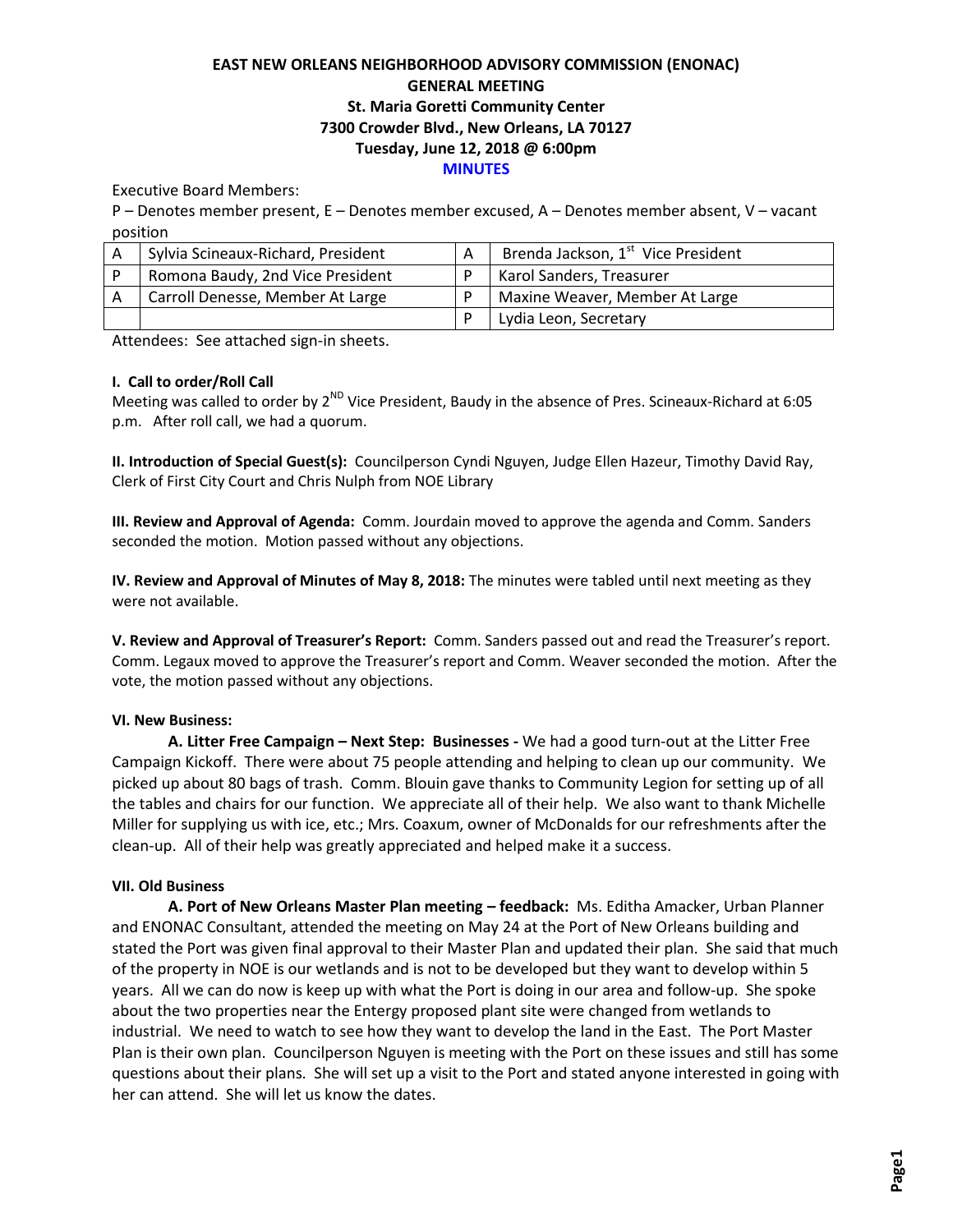# **EAST NEW ORLEANS NEIGHBORHOOD ADVISORY COMMISSION (ENONAC) GENERAL MEETING St. Maria Goretti Community Center 7300 Crowder Blvd., New Orleans, LA 70127 Tuesday, June 12, 2018 @ 6:00pm MINUTES**

# Executive Board Members:

P – Denotes member present, E – Denotes member excused, A – Denotes member absent, V – vacant position

| A | Sylvia Scineaux-Richard, President | Brenda Jackson, 1 <sup>st</sup> Vice President |
|---|------------------------------------|------------------------------------------------|
|   | Romona Baudy, 2nd Vice President   | Karol Sanders, Treasurer                       |
|   | Carroll Denesse, Member At Large   | Maxine Weaver, Member At Large                 |
|   |                                    | Lydia Leon, Secretary                          |

Attendees: See attached sign-in sheets.

# **I. Call to order/Roll Call**

Meeting was called to order by 2<sup>ND</sup> Vice President, Baudy in the absence of Pres. Scineaux-Richard at 6:05 p.m. After roll call, we had a quorum.

**II. Introduction of Special Guest(s):** Councilperson Cyndi Nguyen, Judge Ellen Hazeur, Timothy David Ray, Clerk of First City Court and Chris Nulph from NOE Library

**III. Review and Approval of Agenda:** Comm. Jourdain moved to approve the agenda and Comm. Sanders seconded the motion. Motion passed without any objections.

**IV. Review and Approval of Minutes of May 8, 2018:** The minutes were tabled until next meeting as they were not available.

**V. Review and Approval of Treasurer's Report:** Comm. Sanders passed out and read the Treasurer's report. Comm. Legaux moved to approve the Treasurer's report and Comm. Weaver seconded the motion. After the vote, the motion passed without any objections.

#### **VI. New Business:**

**A. Litter Free Campaign – Next Step: Businesses -** We had a good turn-out at the Litter Free Campaign Kickoff. There were about 75 people attending and helping to clean up our community. We picked up about 80 bags of trash. Comm. Blouin gave thanks to Community Legion for setting up of all the tables and chairs for our function. We appreciate all of their help. We also want to thank Michelle Miller for supplying us with ice, etc.; Mrs. Coaxum, owner of McDonalds for our refreshments after the clean-up. All of their help was greatly appreciated and helped make it a success.

#### **VII. Old Business**

**A. Port of New Orleans Master Plan meeting – feedback:** Ms. Editha Amacker, Urban Planner and ENONAC Consultant, attended the meeting on May 24 at the Port of New Orleans building and stated the Port was given final approval to their Master Plan and updated their plan. She said that much of the property in NOE is our wetlands and is not to be developed but they want to develop within 5 years. All we can do now is keep up with what the Port is doing in our area and follow-up. She spoke about the two properties near the Entergy proposed plant site were changed from wetlands to industrial. We need to watch to see how they want to develop the land in the East. The Port Master Plan is their own plan. Councilperson Nguyen is meeting with the Port on these issues and still has some questions about their plans. She will set up a visit to the Port and stated anyone interested in going with her can attend. She will let us know the dates.